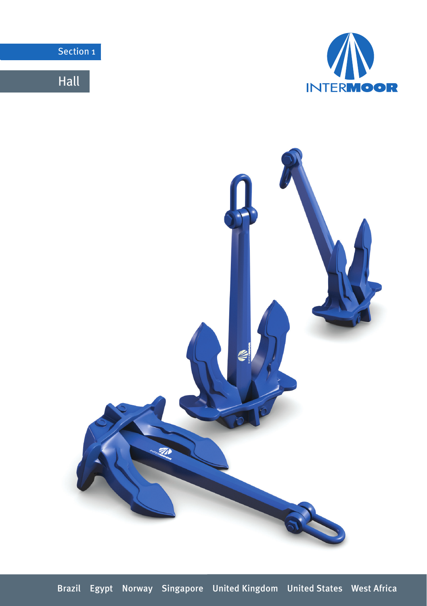



Hall